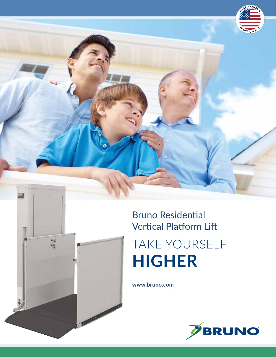

# Bruno Residential Vertical Platform Lift TAKE YOURSELF **HIGHER**

**www.bruno.com**

 $\frac{1}{2}$ 

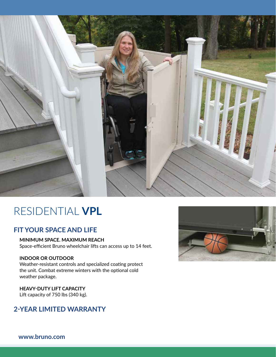

## RESIDENTIAL **VPL**

### **FIT YOUR SPACE AND LIFE**

**MINIMUM SPACE. MAXIMUM REACH** Space-efficient Bruno wheelchair lifts can access up to 14 feet.

#### **INDOOR OR OUTDOOR**

Weather-resistant controls and specialized coating protect the unit. Combat extreme winters with the optional cold weather package.

**HEAVY-DUTY LIFT CAPACITY** Lift capacity of 750 lbs (340 kg).

### **2-YEAR LIMITED WARRANTY**



**www.bruno.com**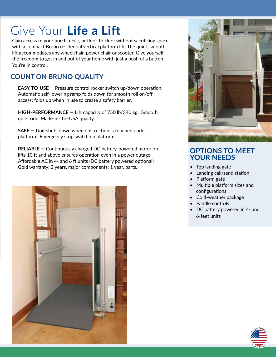# Give Your **Life a Lift**

Gain access to your porch, deck, or floor-to-floor without sacrificing space with a compact Bruno residential vertical platform lift. The quiet, smooth lift accommodates any wheelchair, power chair or scooter. Give yourself the freedom to get in and out of your home with just a push of a button. You're in control.

### **COUNT ON BRUNO QUALITY**

**EASY-TO-USE** — Pressure control rocker switch up/down operation. Automatic self-lowering ramp folds down for smooth roll on/off access; folds up when in use to create a safety barrier.

**HIGH-PERFORMANCE** — Lift capacity of 750 lb/340 kg. Smooth, quiet ride. Made-in-the-USA quality.

**SAFE** — Unit shuts down when obstruction is touched under platform. Emergency stop switch on platform.

**RELIABLE** — Continuously charged DC battery-powered motor on lifts 10 ft and above ensures operation even in a power outage. Affordable AC in 4- and 6 ft units (DC battery powered optional) Gold warranty: 2 years, major components; 1 year, parts.





### **OPTIONS TO MEET YOUR NEEDS**

- Top landing gate
- Landing call/send station
- Platform gate
- Multiple platform sizes and configurations
- Cold-weather package
- Paddle controls
- DC battery powered in 4- and 6-feet units